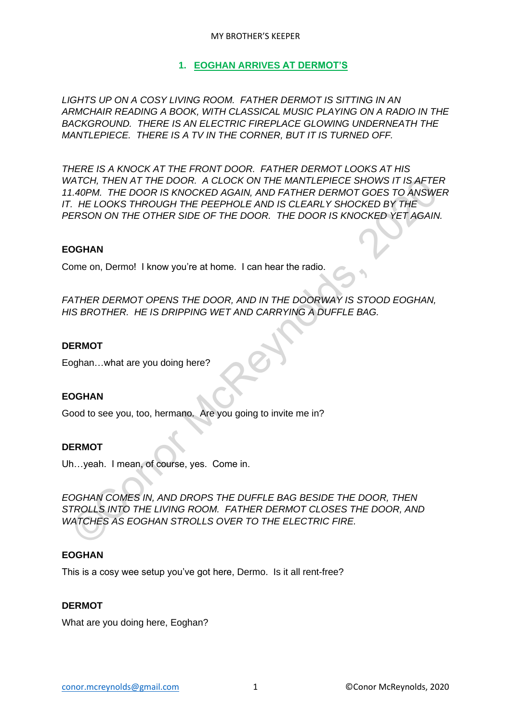#### MY BROTHER'S KEEPER

### **1. EOGHAN ARRIVES AT DERMOT'S**

*LIGHTS UP ON A COSY LIVING ROOM. FATHER DERMOT IS SITTING IN AN ARMCHAIR READING A BOOK, WITH CLASSICAL MUSIC PLAYING ON A RADIO IN THE BACKGROUND. THERE IS AN ELECTRIC FIREPLACE GLOWING UNDERNEATH THE MANTLEPIECE. THERE IS A TV IN THE CORNER, BUT IT IS TURNED OFF.*

*THERE IS A KNOCK AT THE FRONT DOOR. FATHER DERMOT LOOKS AT HIS WATCH, THEN AT THE DOOR. A CLOCK ON THE MANTLEPIECE SHOWS IT IS AFTER 11.40PM. THE DOOR IS KNOCKED AGAIN, AND FATHER DERMOT GOES TO ANSWER IT. HE LOOKS THROUGH THE PEEPHOLE AND IS CLEARLY SHOCKED BY THE PERSON ON THE OTHER SIDE OF THE DOOR. THE DOOR IS KNOCKED YET AGAIN.* ATCH, THEN AT THE DOOR. A CLOCK ON THE MANTLEPIECE SHOWS IT IS AFTER AND ATCH, THE DOOR IS KNOCKED AGAIN, AND FATHER DERMOT GOES TO ANSWITE.<br>T. HE LOOKS THROUGH THE PEEPHOLE AND IS CLEARLY SHOCKED BY THE RESON ON THE OTHER

#### **EOGHAN**

Come on, Dermo! I know you're at home. I can hear the radio.

*FATHER DERMOT OPENS THE DOOR, AND IN THE DOORWAY IS STOOD EOGHAN, HIS BROTHER. HE IS DRIPPING WET AND CARRYING A DUFFLE BAG.*

#### **DERMOT**

Eoghan…what are you doing here?

#### **EOGHAN**

Good to see you, too, hermano. Are you going to invite me in?

#### **DERMOT**

Uh…yeah. I mean, of course, yes. Come in.

*EOGHAN COMES IN, AND DROPS THE DUFFLE BAG BESIDE THE DOOR, THEN STROLLS INTO THE LIVING ROOM. FATHER DERMOT CLOSES THE DOOR, AND WATCHES AS EOGHAN STROLLS OVER TO THE ELECTRIC FIRE.*

#### **EOGHAN**

This is a cosy wee setup you've got here, Dermo. Is it all rent-free?

#### **DERMOT**

What are you doing here, Eoghan?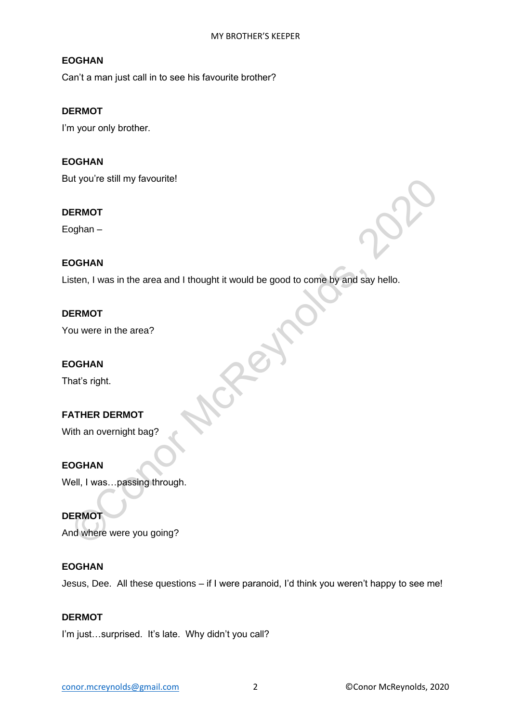Can't a man just call in to see his favourite brother?

### **DERMOT**

I'm your only brother.

### **EOGHAN**

But you're still my favourite!

#### **DERMOT**

Eoghan –

### **EOGHAN**

Listen, I was in the area and I thought it would be good to come by and say hello. ERMOT<br>
COGHAN<br>
SIER, I was in the area and I thought it would be good to come by and say hello.<br>
ERMOT<br>
DOGHAN<br>
MATHER DERMOT<br>
(The an overnight bag?<br>
COGHAN<br>
COL, I was ...passing through.<br>
REMOT<br>
COGHAN<br>
COL, I was ...pa

### **DERMOT**

You were in the area?

### **EOGHAN**

That's right.

# **FATHER DERMOT**

With an overnight bag?

#### **EOGHAN**

Well, I was…passing through.

### **DERMOT**

And where were you going?

### **EOGHAN**

Jesus, Dee. All these questions – if I were paranoid, I'd think you weren't happy to see me!

#### **DERMOT**

I'm just...surprised. It's late. Why didn't you call?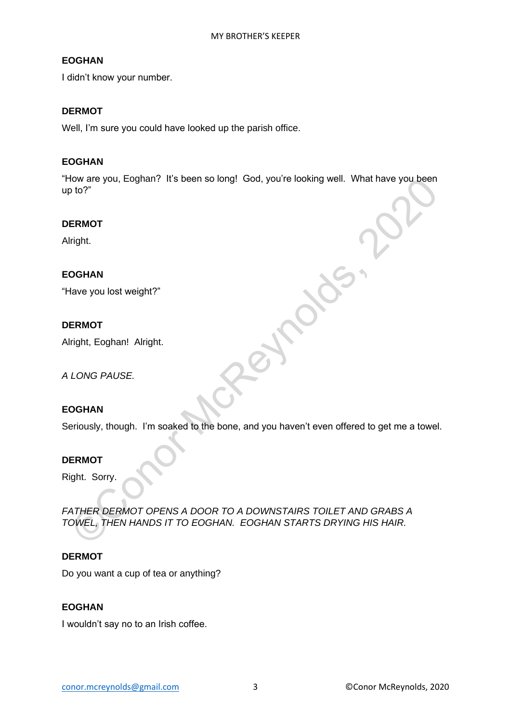I didn't know your number.

### **DERMOT**

Well, I'm sure you could have looked up the parish office.

### **EOGHAN**

"How are you, Eoghan? It's been so long! God, you're looking well. What have you been up to?"

#### **DERMOT**

Alright.

### **EOGHAN**

"Have you lost weight?"

### **DERMOT**

Alright, Eoghan! Alright.

*A LONG PAUSE.*

# **EOGHAN**

Seriously, though. I'm soaked to the bone, and you haven't even offered to get me a towel.

#### **DERMOT**

Right. Sorry.

*FATHER DERMOT OPENS A DOOR TO A DOWNSTAIRS TOILET AND GRABS A TOWEL, THEN HANDS IT TO EOGHAN. EOGHAN STARTS DRYING HIS HAIR.* NOW ARE YOU, EOGRAPY ITS BEEN SO LONG! GOO, YOU'R LOOKING WEIL WHAT HAVE YOU BEEN<br>
DISPUTE RENNOT<br>
Tright.<br>
CONOR PAUSE.<br>
CONOR PAUSE.<br>
CONOR PAUSE.<br>
CONOR PAUSE.<br>
CONOR PAUSE.<br>
CONOR PAUSE.<br>
ATHER DERMOT OPENS A DOOR TO A

#### **DERMOT**

Do you want a cup of tea or anything?

# **EOGHAN**

I wouldn't say no to an Irish coffee.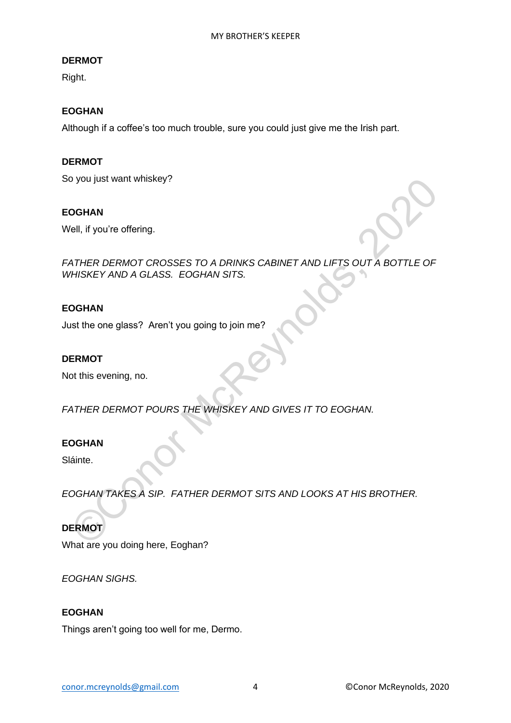### **DERMOT**

Right.

### **EOGHAN**

Although if a coffee's too much trouble, sure you could just give me the Irish part.

### **DERMOT**

So you just want whiskey?

#### **EOGHAN**

Well, if you're offering.

*FATHER DERMOT CROSSES TO A DRINKS CABINET AND LIFTS OUT A BOTTLE OF WHISKEY AND A GLASS. EOGHAN SITS.* OGHAN<br>
Nell, if you're offering.<br>
NATHER DERMOT CROSSES TO A DRINKS CABINET AND LIFTS OUT A BOTTLE OF<br>
THISKEY AND A GLASS. EOGHAN SITS.<br>
DGHAN<br>
Nat the one glass? Aren't you going to join me?<br>
RENNOT<br>
ATHER DERMOT POURS T

### **EOGHAN**

Just the one glass? Aren't you going to join me?

#### **DERMOT**

Not this evening, no.

*FATHER DERMOT POURS THE WHISKEY AND GIVES IT TO EOGHAN.* 

#### **EOGHAN**

Sláinte.

*EOGHAN TAKES A SIP. FATHER DERMOT SITS AND LOOKS AT HIS BROTHER.*

# **DERMOT**

What are you doing here, Eoghan?

*EOGHAN SIGHS.*

#### **EOGHAN**

Things aren't going too well for me, Dermo.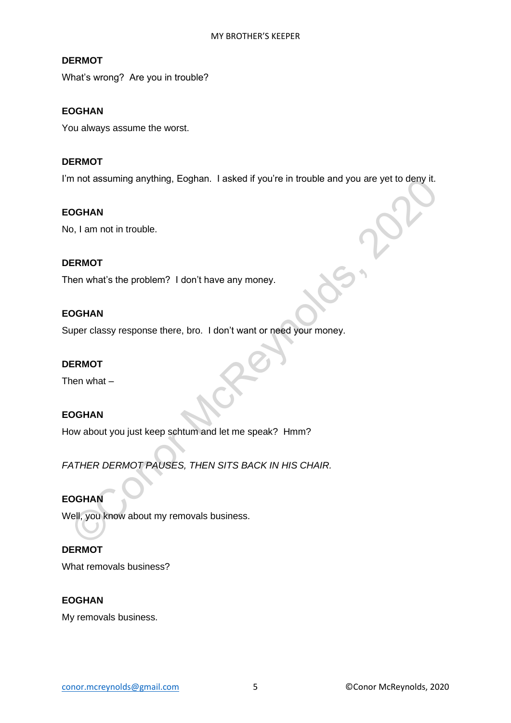### **DERMOT**

What's wrong? Are you in trouble?

### **EOGHAN**

You always assume the worst.

### **DERMOT**

I'm not assuming anything, Eoghan. I asked if you're in trouble and you are yet to deny it.

#### **EOGHAN**

No, I am not in trouble.

#### **DERMOT**

Then what's the problem? I don't have any money.

### **EOGHAN**

Super classy response there, bro. I don't want or need your money.

### **DERMOT**

Then what –

### **EOGHAN**

How about you just keep schtum and let me speak? Hmm?

*FATHER DERMOT PAUSES, THEN SITS BACK IN HIS CHAIR.* m not assuming anything, Eognan. I asked if you're in trouble and you are yet to deny it.<br>
OGHAN<br>
o, I am not in trouble.<br>
COMEXAN<br>
oper classy response there, bro. I don't want or need your money.<br>
COMEXAN<br>
FENNOT<br>
FENNOT

### **EOGHAN**

Well, you know about my removals business.

### **DERMOT**

What removals business?

### **EOGHAN**

My removals business.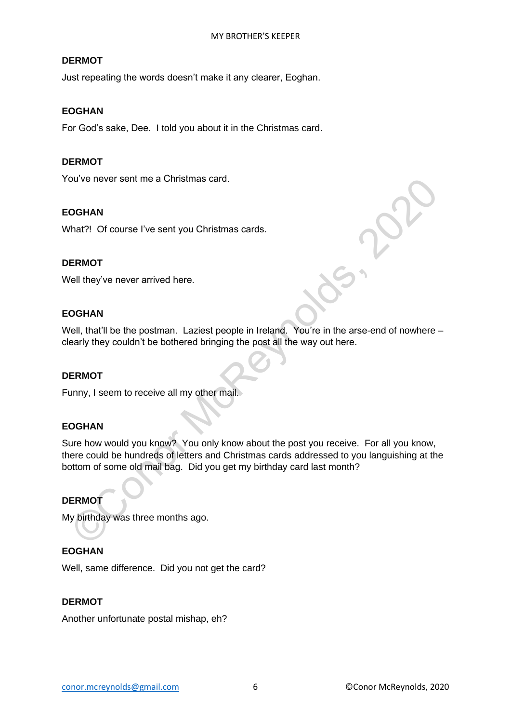### **DERMOT**

Just repeating the words doesn't make it any clearer, Eoghan.

### **EOGHAN**

For God's sake, Dee. I told you about it in the Christmas card.

### **DERMOT**

You've never sent me a Christmas card.

#### **EOGHAN**

What?! Of course I've sent you Christmas cards.

#### **DERMOT**

Well they've never arrived here.

### **EOGHAN**

Well, that'll be the postman. Laziest people in Ireland. You're in the arse-end of nowhere – clearly they couldn't be bothered bringing the post all the way out here.

#### **DERMOT**

Funny, I seem to receive all my other mail.

### **EOGHAN**

Sure how would you know? You only know about the post you receive. For all you know, there could be hundreds of letters and Christmas cards addressed to you languishing at the bottom of some old mail bag. Did you get my birthday card last month? OGHAN<br>
COMBAN<br>
That?! Of course I've sent you Christmas cards.<br>
Convert and the stress of the sent you Christmas cards.<br>
Cell they've never arrived here.<br>
Constant with the the postman. Laziest people in Ireland. You're in

### **DERMOT**

My birthday was three months ago.

### **EOGHAN**

Well, same difference. Did you not get the card?

### **DERMOT**

Another unfortunate postal mishap, eh?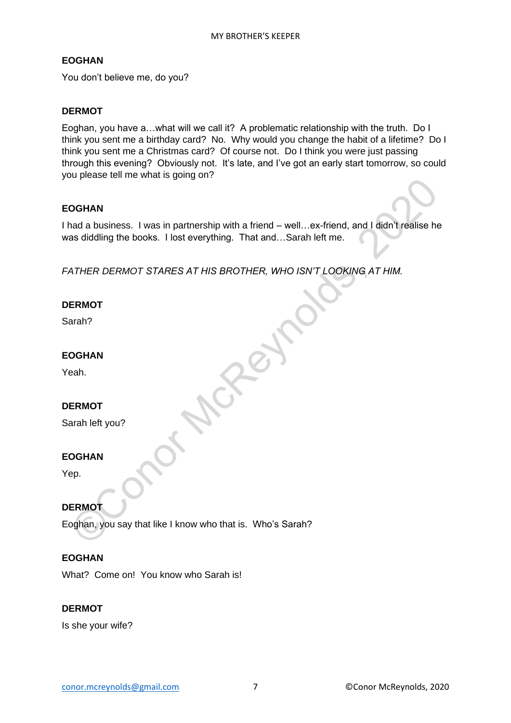You don't believe me, do you?

### **DERMOT**

Eoghan, you have a…what will we call it? A problematic relationship with the truth. Do I think you sent me a birthday card? No. Why would you change the habit of a lifetime? Do I think you sent me a Christmas card? Of course not. Do I think you were just passing through this evening? Obviously not. It's late, and I've got an early start tomorrow, so could you please tell me what is going on?

### **EOGHAN**

I had a business. I was in partnership with a friend – well…ex-friend, and I didn't realise he was diddling the books. I lost everything. That and…Sarah left me. OGHAN<br>
Mad a business. I was in partnership with a friend – well...ex-friend, and I didn't realise ht<br>
as diddling the books. I lost everything. That and...Sarah left me.<br>
ATHER DERMOT STARES AT HIS BROTHER, WHO ISN'T LOOK

*FATHER DERMOT STARES AT HIS BROTHER, WHO ISN'T LOOKING AT HIM.*

### **DERMOT**

Sarah?

**EOGHAN**

Yeah.

### **DERMOT**

Sarah left you?

#### **EOGHAN**

Yep.

### **DERMOT**

Eoghan, you say that like I know who that is. Who's Sarah?

#### **EOGHAN**

What? Come on! You know who Sarah is!

#### **DERMOT**

Is she your wife?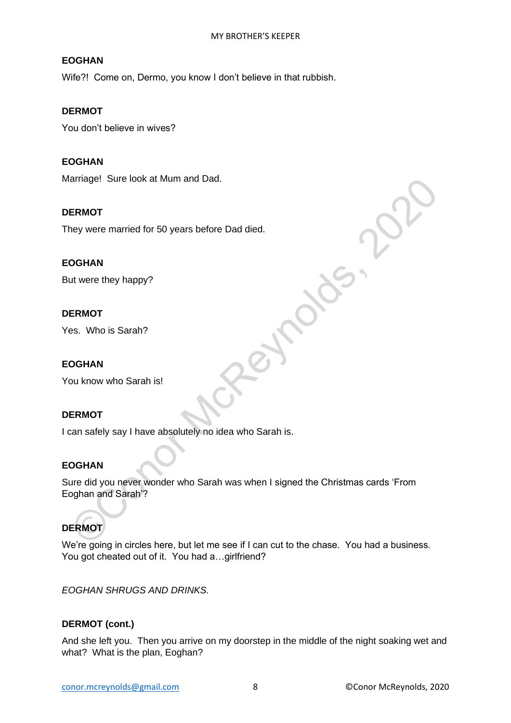Wife?! Come on, Dermo, you know I don't believe in that rubbish.

### **DERMOT**

You don't believe in wives?

### **EOGHAN**

Marriage! Sure look at Mum and Dad.

#### **DERMOT**

They were married for 50 years before Dad died.

#### **EOGHAN**

But were they happy?

#### **DERMOT**

Yes. Who is Sarah?

#### **EOGHAN**

You know who Sarah is!

#### **DERMOT**

I can safely say I have absolutely no idea who Sarah is.

#### **EOGHAN**

Sure did you never wonder who Sarah was when I signed the Christmas cards 'From Eoghan and Sarah'? ERMOT<br>
CHE MOT<br>
SCRIM THE MOT MAN<br>
UNIVER WARD IS Sarah?<br>
CONORAIN<br>
UNIVER MOT<br>
SCRIM TO AND IS Sarah?<br>
CONORAIN<br>
UNIVER MOT<br>
CONORAIN<br>
UNIVER MOT<br>
CONORAIN<br>
UNIVER MOT<br>
CONORAIN<br>
UNIVER MOT<br>
CONORAIN<br>
CONORAIN<br>
CONORAIN<br>

# **DERMOT**

We're going in circles here, but let me see if I can cut to the chase. You had a business. You got cheated out of it. You had a... girlfriend?

*EOGHAN SHRUGS AND DRINKS.*

#### **DERMOT (cont.)**

And she left you. Then you arrive on my doorstep in the middle of the night soaking wet and what? What is the plan, Eoghan?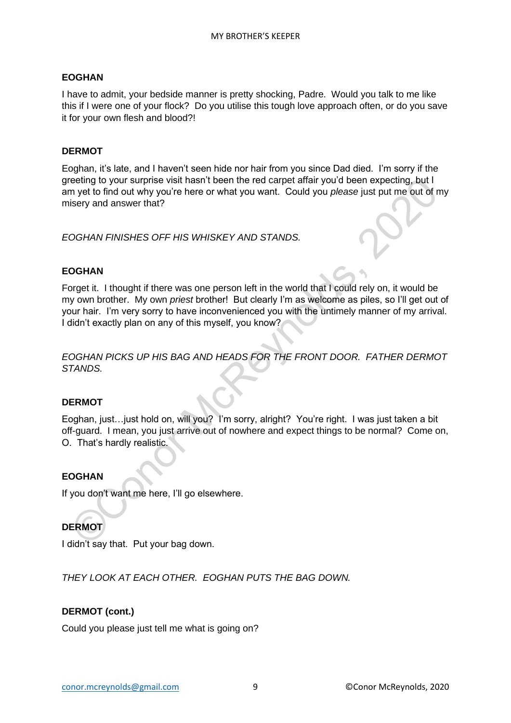I have to admit, your bedside manner is pretty shocking, Padre. Would you talk to me like this if I were one of your flock? Do you utilise this tough love approach often, or do you save it for your own flesh and blood?!

### **DERMOT**

Eoghan, it's late, and I haven't seen hide nor hair from you since Dad died. I'm sorry if the greeting to your surprise visit hasn't been the red carpet affair you'd been expecting, but I am yet to find out why you're here or what you want. Could you *please* just put me out of my misery and answer that?

*EOGHAN FINISHES OFF HIS WHISKEY AND STANDS.*

### **EOGHAN**

Forget it. I thought if there was one person left in the world that I could rely on, it would be my own brother. My own *priest* brother! But clearly I'm as welcome as piles, so I'll get out of your hair. I'm very sorry to have inconvenienced you with the untimely manner of my arrival. I didn't exactly plan on any of this myself, you know? eeling to your surprise visit hasn't been the red carpet affair you'd been expecting, but I<br>m yet to find out why you're here or what you want. Could you *please* just put me out of r<br>isery and answer that?<br>OGHAN FINISHES

*EOGHAN PICKS UP HIS BAG AND HEADS FOR THE FRONT DOOR. FATHER DERMOT STANDS.*

#### **DERMOT**

Eoghan, just…just hold on, will you? I'm sorry, alright? You're right. I was just taken a bit off-guard. I mean, you just arrive out of nowhere and expect things to be normal? Come on, O. That's hardly realistic.

#### **EOGHAN**

If you don't want me here, I'll go elsewhere.

# **DERMOT**

I didn't say that. Put your bag down.

*THEY LOOK AT EACH OTHER. EOGHAN PUTS THE BAG DOWN.*

#### **DERMOT (cont.)**

Could you please just tell me what is going on?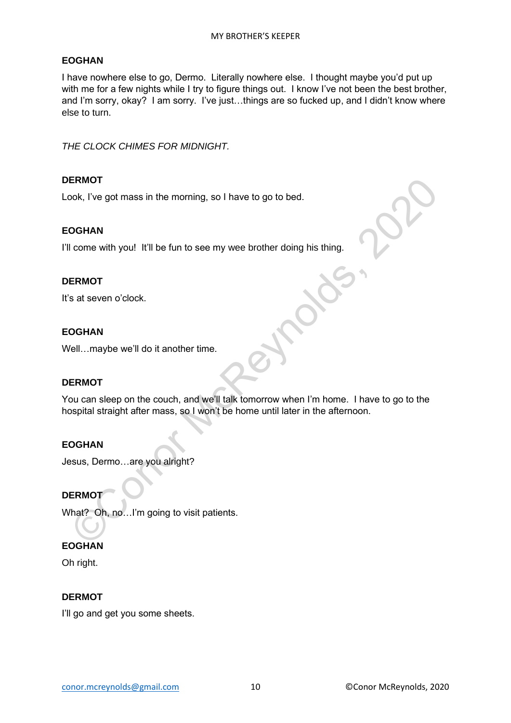I have nowhere else to go, Dermo. Literally nowhere else. I thought maybe you'd put up with me for a few nights while I try to figure things out. I know I've not been the best brother, and I'm sorry, okay? I am sorry. I've just…things are so fucked up, and I didn't know where else to turn.

*THE CLOCK CHIMES FOR MIDNIGHT.*

### **DERMOT**

Look, I've got mass in the morning, so I have to go to bed.

#### **EOGHAN**

I'll come with you! It'll be fun to see my wee brother doing his thing.

#### **DERMOT**

It's at seven o'clock.

#### **EOGHAN**

Well…maybe we'll do it another time.

#### **DERMOT**

You can sleep on the couch, and we'll talk tomorrow when I'm home. I have to go to the hospital straight after mass, so I won't be home until later in the afternoon. ERMOT<br>
COOK, I've got mass in the morning, so I have to go to bed.<br>
COGHAN<br>
I come with you! It'll be fun to see my wee brother doing his thing.<br>
ERMOT<br>
COLIAN<br>
COLIAN<br>
COCHAN<br>
COCHAN<br>
COCHAN<br>
COCHAN<br>
COCHAN<br>
COCHAN<br>
COCHA

#### **EOGHAN**

Jesus, Dermo…are you alright?

# **DERMOT**

What? Oh, no...I'm going to visit patients.

### **EOGHAN**

Oh right.

#### **DERMOT**

I'll go and get you some sheets.